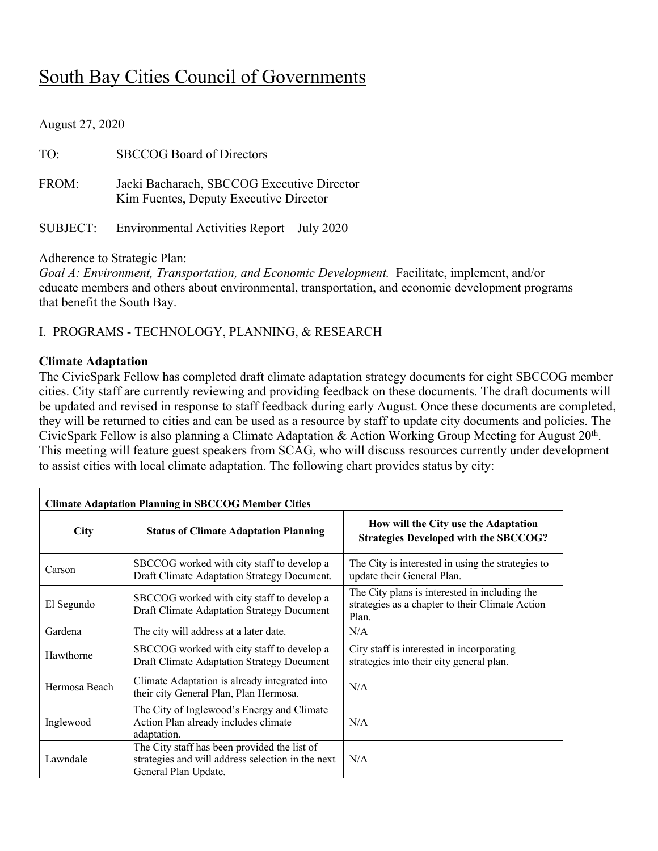# South Bay Cities Council of Governments

August 27, 2020

| TO:      | <b>SBCCOG Board of Directors</b>                                                     |
|----------|--------------------------------------------------------------------------------------|
| FROM:    | Jacki Bacharach, SBCCOG Executive Director<br>Kim Fuentes, Deputy Executive Director |
| SUBJECT: | Environmental Activities Report – July 2020                                          |

#### Adherence to Strategic Plan:

*Goal A: Environment, Transportation, and Economic Development.* Facilitate, implement, and/or educate members and others about environmental, transportation, and economic development programs that benefit the South Bay.

I. PROGRAMS - TECHNOLOGY, PLANNING, & RESEARCH

#### **Climate Adaptation**

The CivicSpark Fellow has completed draft climate adaptation strategy documents for eight SBCCOG member cities. City staff are currently reviewing and providing feedback on these documents. The draft documents will be updated and revised in response to staff feedback during early August. Once these documents are completed, they will be returned to cities and can be used as a resource by staff to update city documents and policies. The CivicSpark Fellow is also planning a Climate Adaptation & Action Working Group Meeting for August 20th. This meeting will feature guest speakers from SCAG, who will discuss resources currently under development to assist cities with local climate adaptation. The following chart provides status by city:

| <b>Climate Adaptation Planning in SBCCOG Member Cities</b> |                                                                                                                           |                                                                                                           |  |  |  |  |  |  |
|------------------------------------------------------------|---------------------------------------------------------------------------------------------------------------------------|-----------------------------------------------------------------------------------------------------------|--|--|--|--|--|--|
| <b>City</b>                                                | <b>Status of Climate Adaptation Planning</b>                                                                              | How will the City use the Adaptation<br><b>Strategies Developed with the SBCCOG?</b>                      |  |  |  |  |  |  |
| Carson                                                     | SBCCOG worked with city staff to develop a<br>Draft Climate Adaptation Strategy Document.                                 | The City is interested in using the strategies to<br>update their General Plan.                           |  |  |  |  |  |  |
| El Segundo                                                 | SBCCOG worked with city staff to develop a<br>Draft Climate Adaptation Strategy Document                                  | The City plans is interested in including the<br>strategies as a chapter to their Climate Action<br>Plan. |  |  |  |  |  |  |
| Gardena                                                    | The city will address at a later date.                                                                                    | N/A                                                                                                       |  |  |  |  |  |  |
| Hawthorne                                                  | SBCCOG worked with city staff to develop a<br>Draft Climate Adaptation Strategy Document                                  | City staff is interested in incorporating<br>strategies into their city general plan.                     |  |  |  |  |  |  |
| Hermosa Beach                                              | Climate Adaptation is already integrated into<br>their city General Plan, Plan Hermosa.                                   | N/A                                                                                                       |  |  |  |  |  |  |
| Inglewood                                                  | The City of Inglewood's Energy and Climate<br>Action Plan already includes climate<br>adaptation.                         | N/A                                                                                                       |  |  |  |  |  |  |
| Lawndale                                                   | The City staff has been provided the list of<br>strategies and will address selection in the next<br>General Plan Update. | N/A                                                                                                       |  |  |  |  |  |  |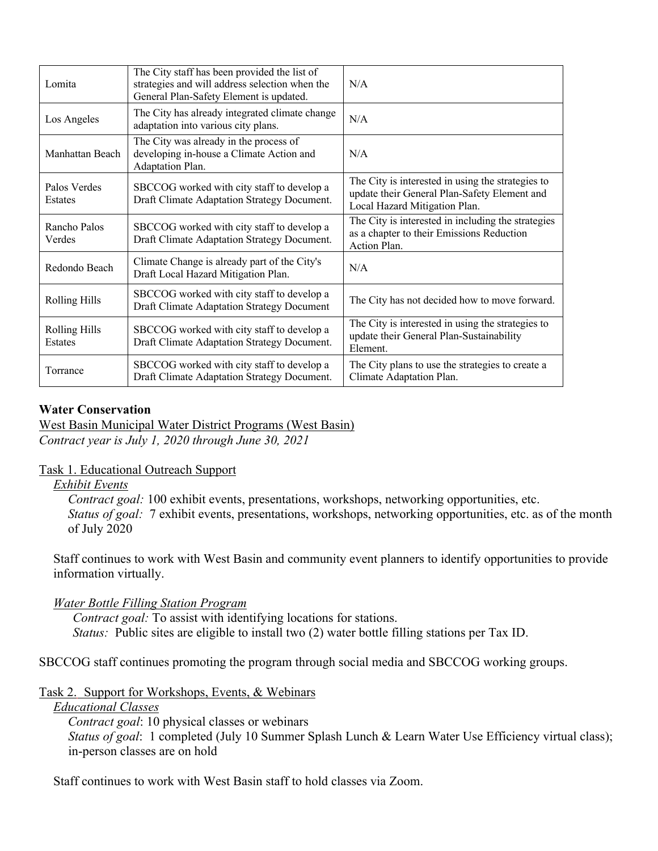| Lomita                                 | The City staff has been provided the list of<br>strategies and will address selection when the<br>General Plan-Safety Element is updated. | N/A                                                                                                                                |
|----------------------------------------|-------------------------------------------------------------------------------------------------------------------------------------------|------------------------------------------------------------------------------------------------------------------------------------|
| Los Angeles                            | The City has already integrated climate change<br>adaptation into various city plans.                                                     | N/A                                                                                                                                |
| Manhattan Beach                        | The City was already in the process of<br>developing in-house a Climate Action and<br>Adaptation Plan.                                    | N/A                                                                                                                                |
| Palos Verdes<br>Estates                | SBCCOG worked with city staff to develop a<br>Draft Climate Adaptation Strategy Document.                                                 | The City is interested in using the strategies to<br>update their General Plan-Safety Element and<br>Local Hazard Mitigation Plan. |
| Rancho Palos<br>Verdes                 | SBCCOG worked with city staff to develop a<br>Draft Climate Adaptation Strategy Document.                                                 | The City is interested in including the strategies<br>as a chapter to their Emissions Reduction<br>Action Plan.                    |
| Redondo Beach                          | Climate Change is already part of the City's<br>Draft Local Hazard Mitigation Plan.                                                       | N/A                                                                                                                                |
| <b>Rolling Hills</b>                   | SBCCOG worked with city staff to develop a<br>Draft Climate Adaptation Strategy Document                                                  | The City has not decided how to move forward.                                                                                      |
| <b>Rolling Hills</b><br><b>Estates</b> | SBCCOG worked with city staff to develop a<br>Draft Climate Adaptation Strategy Document.                                                 | The City is interested in using the strategies to<br>update their General Plan-Sustainability<br>Element.                          |
| Torrance                               | SBCCOG worked with city staff to develop a<br>Draft Climate Adaptation Strategy Document.                                                 | The City plans to use the strategies to create a<br>Climate Adaptation Plan.                                                       |

#### **Water Conservation**

West Basin Municipal Water District Programs (West Basin) *Contract year is July 1, 2020 through June 30, 2021*

#### Task 1. Educational Outreach Support

*Exhibit Events*

*Contract goal:* 100 exhibit events, presentations, workshops, networking opportunities, etc. *Status of goal:* 7 exhibit events, presentations, workshops, networking opportunities, etc. as of the month of July 2020

Staff continues to work with West Basin and community event planners to identify opportunities to provide information virtually.

### *Water Bottle Filling Station Program*

*Contract goal:* To assist with identifying locations for stations. *Status:* Public sites are eligible to install two (2) water bottle filling stations per Tax ID.

SBCCOG staff continues promoting the program through social media and SBCCOG working groups.

### Task 2. Support for Workshops, Events, & Webinars

#### *Educational Classes*

*Contract goal*: 10 physical classes or webinars *Status of goal*: 1 completed (July 10 Summer Splash Lunch & Learn Water Use Efficiency virtual class); in-person classes are on hold

Staff continues to work with West Basin staff to hold classes via Zoom.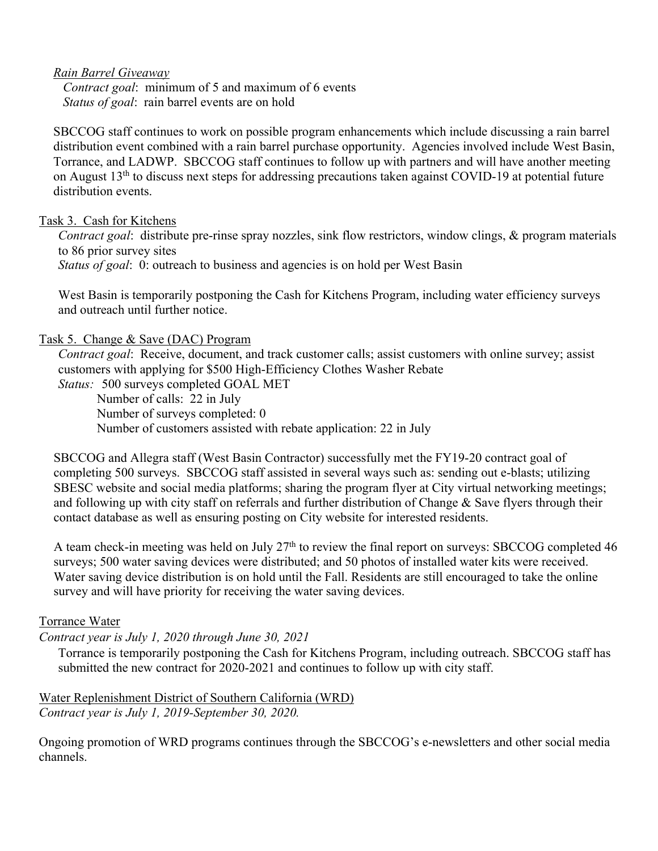#### *Rain Barrel Giveaway*

*Contract goal*: minimum of 5 and maximum of 6 events *Status of goal*: rain barrel events are on hold

SBCCOG staff continues to work on possible program enhancements which include discussing a rain barrel distribution event combined with a rain barrel purchase opportunity. Agencies involved include West Basin, Torrance, and LADWP. SBCCOG staff continues to follow up with partners and will have another meeting on August 13<sup>th</sup> to discuss next steps for addressing precautions taken against COVID-19 at potential future distribution events.

#### Task 3. Cash for Kitchens

*Contract goal*: distribute pre-rinse spray nozzles, sink flow restrictors, window clings, & program materials to 86 prior survey sites *Status of goal*: 0: outreach to business and agencies is on hold per West Basin

West Basin is temporarily postponing the Cash for Kitchens Program, including water efficiency surveys and outreach until further notice.

#### Task 5. Change & Save (DAC) Program

*Contract goal*: Receive, document, and track customer calls; assist customers with online survey; assist customers with applying for \$500 High-Efficiency Clothes Washer Rebate

*Status:* 500 surveys completed GOAL MET

Number of calls: 22 in July Number of surveys completed: 0 Number of customers assisted with rebate application: 22 in July

SBCCOG and Allegra staff (West Basin Contractor) successfully met the FY19-20 contract goal of completing 500 surveys. SBCCOG staff assisted in several ways such as: sending out e-blasts; utilizing SBESC website and social media platforms; sharing the program flyer at City virtual networking meetings; and following up with city staff on referrals and further distribution of Change & Save flyers through their contact database as well as ensuring posting on City website for interested residents.

A team check-in meeting was held on July  $27<sup>th</sup>$  to review the final report on surveys: SBCCOG completed 46 surveys; 500 water saving devices were distributed; and 50 photos of installed water kits were received. Water saving device distribution is on hold until the Fall. Residents are still encouraged to take the online survey and will have priority for receiving the water saving devices.

### Torrance Water

### *Contract year is July 1, 2020 through June 30, 2021*

Torrance is temporarily postponing the Cash for Kitchens Program, including outreach. SBCCOG staff has submitted the new contract for 2020-2021 and continues to follow up with city staff.

Water Replenishment District of Southern California (WRD) *Contract year is July 1, 2019-September 30, 2020.*

Ongoing promotion of WRD programs continues through the SBCCOG's e-newsletters and other social media channels.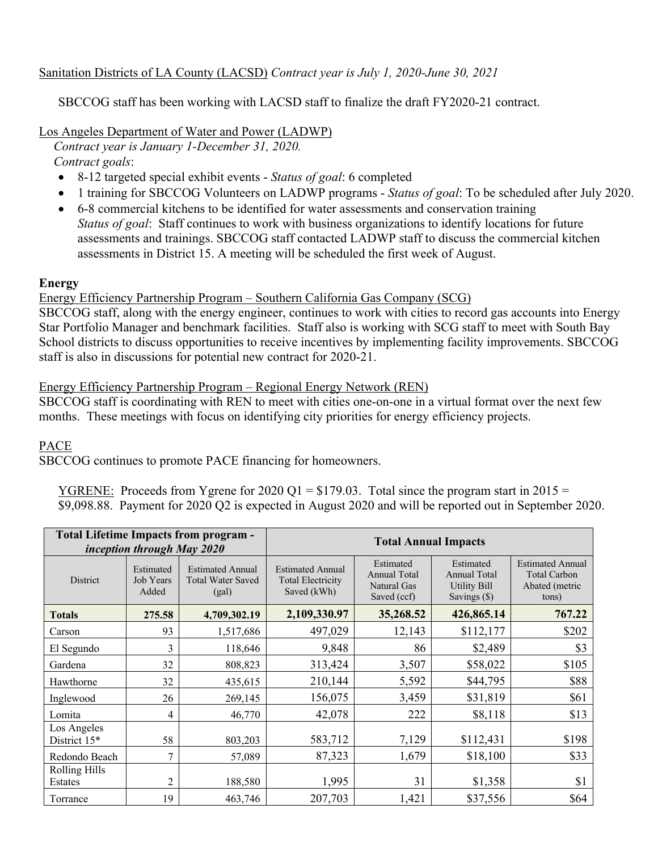### Sanitation Districts of LA County (LACSD) *Contract year is July 1, 2020-June 30, 2021*

SBCCOG staff has been working with LACSD staff to finalize the draft FY2020-21 contract.

Los Angeles Department of Water and Power (LADWP)

*Contract year is January 1-December 31, 2020. Contract goals*:

- 8-12 targeted special exhibit events *Status of goal*: 6 completed
- 1 training for SBCCOG Volunteers on LADWP programs *Status of goal*: To be scheduled after July 2020.
- 6-8 commercial kitchens to be identified for water assessments and conservation training *Status of goal*: Staff continues to work with business organizations to identify locations for future assessments and trainings. SBCCOG staff contacted LADWP staff to discuss the commercial kitchen assessments in District 15. A meeting will be scheduled the first week of August.

#### **Energy**

#### Energy Efficiency Partnership Program – Southern California Gas Company (SCG)

SBCCOG staff, along with the energy engineer, continues to work with cities to record gas accounts into Energy Star Portfolio Manager and benchmark facilities. Staff also is working with SCG staff to meet with South Bay School districts to discuss opportunities to receive incentives by implementing facility improvements. SBCCOG staff is also in discussions for potential new contract for 2020-21.

#### Energy Efficiency Partnership Program – Regional Energy Network (REN)

SBCCOG staff is coordinating with REN to meet with cities one-on-one in a virtual format over the next few months. These meetings with focus on identifying city priorities for energy efficiency projects.

### PACE

SBCCOG continues to promote PACE financing for homeowners.

<u>YGRENE:</u> Proceeds from Ygrene for 2020 Q1 = \$179.03. Total since the program start in 2015 = \$9,098.88. Payment for 2020 Q2 is expected in August 2020 and will be reported out in September 2020.

|                             | inception through May 2020      | <b>Total Lifetime Impacts from program -</b>                 | <b>Total Annual Impacts</b>                                        |                                                                |                                                                           |                                                                           |  |  |  |
|-----------------------------|---------------------------------|--------------------------------------------------------------|--------------------------------------------------------------------|----------------------------------------------------------------|---------------------------------------------------------------------------|---------------------------------------------------------------------------|--|--|--|
| District                    | Estimated<br>Job Years<br>Added | <b>Estimated Annual</b><br><b>Total Water Saved</b><br>(gal) | <b>Estimated Annual</b><br><b>Total Electricity</b><br>Saved (kWh) | Estimated<br><b>Annual Total</b><br>Natural Gas<br>Saved (ccf) | Estimated<br><b>Annual Total</b><br><b>Utility Bill</b><br>Savings $(\$)$ | <b>Estimated Annual</b><br><b>Total Carbon</b><br>Abated (metric<br>tons) |  |  |  |
| <b>Totals</b>               | 275.58                          | 4,709,302.19                                                 | 2,109,330.97                                                       | 426,865.14                                                     | 767.22                                                                    |                                                                           |  |  |  |
| Carson                      | 93                              | 1,517,686                                                    | 497,029                                                            | 12,143                                                         | \$112,177                                                                 | \$202                                                                     |  |  |  |
| El Segundo                  | 3                               | 118,646                                                      | 9,848                                                              | 86                                                             | \$2,489                                                                   | \$3                                                                       |  |  |  |
| Gardena                     | 32                              | 808,823                                                      | 313,424                                                            | 3,507                                                          | \$58,022                                                                  | \$105                                                                     |  |  |  |
| Hawthorne                   | 32                              | 435,615                                                      | 210,144                                                            | 5,592                                                          | \$44,795                                                                  | \$88                                                                      |  |  |  |
| Inglewood                   | 26                              | 269,145                                                      | 156,075                                                            | 3,459                                                          | \$31,819                                                                  | \$61                                                                      |  |  |  |
| Lomita                      | 4                               | 46,770                                                       | 42,078                                                             | 222                                                            | \$8,118                                                                   | \$13                                                                      |  |  |  |
| Los Angeles<br>District 15* | 58                              | 803,203                                                      | 583,712                                                            | 7,129                                                          | \$112,431                                                                 | \$198                                                                     |  |  |  |
| Redondo Beach               | 7                               | 57,089                                                       | 87,323                                                             | 1,679                                                          | \$18,100                                                                  | \$33                                                                      |  |  |  |
| Rolling Hills<br>Estates    | $\overline{2}$                  | 188,580                                                      | 1,995                                                              | 31                                                             | \$1,358                                                                   | \$1                                                                       |  |  |  |
| Torrance                    | 19                              | 463,746                                                      | 207,703                                                            | 1,421                                                          | \$37,556                                                                  | \$64                                                                      |  |  |  |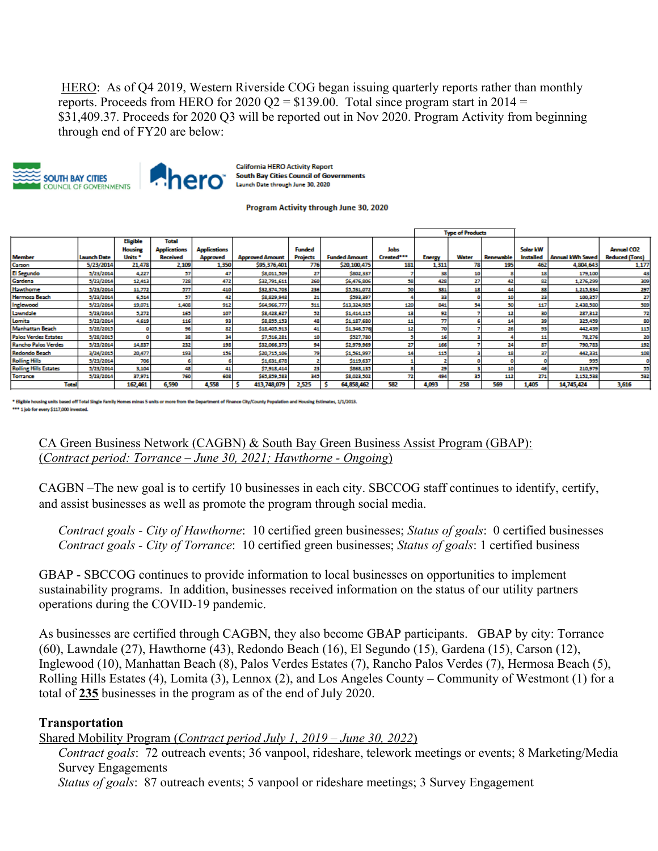HERO: As of Q4 2019, Western Riverside COG began issuing quarterly reports rather than monthly reports. Proceeds from HERO for  $2020 \text{ Q2} = $139.00$ . Total since program start in  $2014 =$ \$31,409.37. Proceeds for 2020 Q3 will be reported out in Nov 2020. Program Activity from beginning through end of FY20 are below:





**California HERO Activity Report South Bay Cities Council of Governments** Launch Date through June 30, 2020

#### Program Activity through June 30, 2020

|                              |                    |                    |                     |                     |                        |                 |                      |             | <b>Type of Products</b> |       |                  |                  |                         |                       |
|------------------------------|--------------------|--------------------|---------------------|---------------------|------------------------|-----------------|----------------------|-------------|-------------------------|-------|------------------|------------------|-------------------------|-----------------------|
|                              |                    | <b>Eligible</b>    | <b>Total</b>        |                     |                        |                 |                      |             |                         |       |                  |                  |                         |                       |
|                              |                    | <b>Housing</b>     | <b>Applications</b> | <b>Applications</b> |                        | <b>Funded</b>   |                      | <b>Jobs</b> |                         |       |                  | Solar kW         |                         | <b>Annual CO2</b>     |
| <b>Member</b>                | <b>Launch Date</b> | Units <sup>*</sup> | <b>Received</b>     | <b>Approved</b>     | <b>Approved Amount</b> | <b>Projects</b> | <b>Funded Amount</b> | Created***  | <b>Energy</b>           | Water | <b>Renewable</b> | <b>Installed</b> | <b>Annual kWh Saved</b> | <b>Reduced (Tons)</b> |
| Carson                       | 5/23/2014          | 21,478             | 2.109               | 1.350               | \$95,376,401           | 776             | \$20,100,475         | 181         | 1,311                   |       | 195              | 462              | 4,804,643               | 1,17                  |
| <b>El Segundo</b>            | 3/23/2014          | 4,227              | 57                  | 47                  | \$8,011,509            |                 | \$802,337            |             | 38                      |       |                  | 11               | 179,100                 | л                     |
| Gardena                      | 5/23/2014          | 12,413             | 728                 | 472                 | \$32,791,611           | 260             | \$6,476,806          |             | 428                     | 27    | Ф                | 82               | 1,276,299               | 30                    |
| Hawthome                     | 5/23/2014          | 11,772             | 577                 | 410                 | \$32,374,703           | 236             | \$5,531,072          |             | 381                     |       | М                | 88               | 1,215,334               | 29                    |
| <b>Hermosa Beach</b>         | 3/23/2014          | 6,314              | 57                  | 42                  | \$8,829,948            | 21              | \$393,397            |             | 33                      |       | 10               | 23               | 100,357                 | z                     |
| Inglewood                    | 5/23/2014          | 19,071             | 1,408               | 912                 | \$64,966,777           | 511             | \$13,324,985         | 120         | 841                     | 54    | 50               | 117              | 2,438,580               | 58                    |
| Lawndale                     | 5/23/2014          | 5,272              | 165                 | 107                 | \$8,428,627            | 52              | \$1,414,115          |             | 92                      |       | 12               | 30               | 287,312                 |                       |
| Lomita                       | 5/23/2014          | 4,619              | 116                 | 93                  | \$8,855,153            | 48              | \$1,187,680          |             | 77                      |       | 14               | 39               | 325,459                 | я                     |
| <b>Manhattan Beach</b>       | 5/28/2015          |                    | 96                  | 82                  | \$18,405,913           | 41              | \$1,346,576          |             |                         |       | 26               | 93               | 442,439                 | 11                    |
| <b>Palos Verdes Estates</b>  | 5/28/2015          |                    | 38                  | 34                  | \$7,316,281            |                 | \$527,780            |             |                         |       |                  |                  | 78,276                  |                       |
| <b>Rancho Palos Verdes</b>   | 5/23/2014          | 14,837             | 232                 | 198                 | \$32,066,375           | 94              | \$2,979,969          |             | 166                     |       | 24               | 87               | 790.783                 | 19                    |
| Redondo Beach                | 3/24/2015          | 20,477             | 193                 | 156                 | \$20,715,106           | 79              | \$1,561,997          |             | 115                     |       | 18               | 37               | 442,331                 | 10                    |
| <b>Rolling Hills</b>         | 5/23/2014          | 706                |                     |                     | \$1,631,678            |                 | \$119,637            |             |                         |       |                  |                  | 995                     |                       |
| <b>Rolling Hills Estates</b> | 5/23/2014          | 3,104              | 48                  | 41                  | \$7,918,414            | 23              | \$868,135            |             | 29                      |       | 10               | 46               | 210,979                 |                       |
| Torrance                     | 5/23/2014          | 37,971             | 760                 | 608                 | \$65,859,583           | 345             | \$8,023,502          |             | 494                     | 35    | 112              | 271              | 2,152,538               | 53.                   |
| <b>Total</b>                 |                    | 162.461            | 6.590               | 4.558               | 413,748,079            | 2.525           | 64.858.462           | 582         | 4.093                   | 258   | 569              | 1.405            | 14.745.424              | 3.616                 |

using units based off Total Single Family I nt of Finance City/County Population and He sing Estimates, 1/1/2013. \*\* 1 job for every \$117,000 invested

CA Green Business Network (CAGBN) & South Bay Green Business Assist Program (GBAP): (*Contract period: Torrance – June 30, 2021; Hawthorne - Ongoing*)

CAGBN –The new goal is to certify 10 businesses in each city. SBCCOG staff continues to identify, certify, and assist businesses as well as promote the program through social media.

*Contract goals - City of Hawthorne*: 10 certified green businesses; *Status of goals*: 0 certified businesses *Contract goals - City of Torrance*: 10 certified green businesses; *Status of goals*: 1 certified business

GBAP - SBCCOG continues to provide information to local businesses on opportunities to implement sustainability programs. In addition, businesses received information on the status of our utility partners operations during the COVID-19 pandemic.

As businesses are certified through CAGBN, they also become GBAP participants. GBAP by city: Torrance (60), Lawndale (27), Hawthorne (43), Redondo Beach (16), El Segundo (15), Gardena (15), Carson (12), Inglewood (10), Manhattan Beach (8), Palos Verdes Estates (7), Rancho Palos Verdes (7), Hermosa Beach (5), Rolling Hills Estates (4), Lomita (3), Lennox (2), and Los Angeles County – Community of Westmont (1) for a total of **235** businesses in the program as of the end of July 2020.

#### **Transportation**

Shared Mobility Program (*Contract period July 1, 2019 – June 30, 2022*)

*Contract goals*: 72 outreach events; 36 vanpool, rideshare, telework meetings or events; 8 Marketing/Media Survey Engagements

*Status of goals*: 87 outreach events; 5 vanpool or rideshare meetings; 3 Survey Engagement